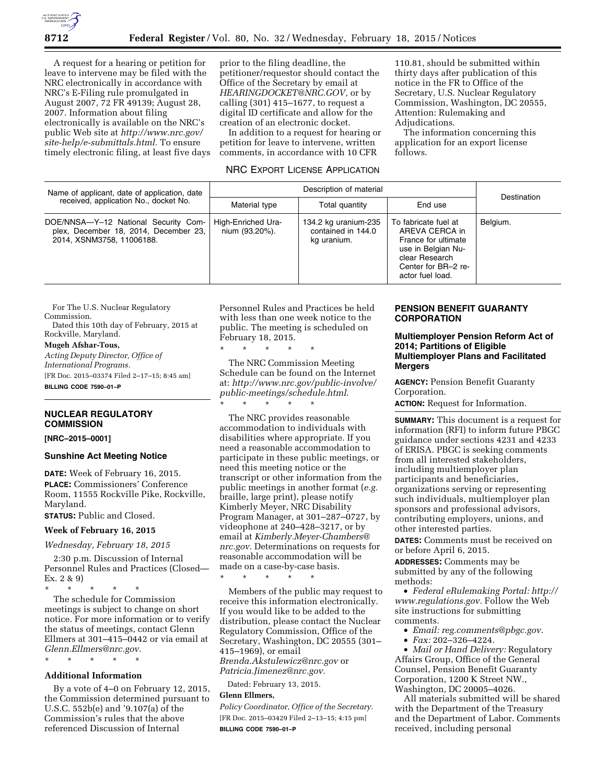

A request for a hearing or petition for leave to intervene may be filed with the NRC electronically in accordance with NRC's E-Filing rule promulgated in August 2007, 72 FR 49139; August 28, 2007. Information about filing electronically is available on the NRC's public Web site at *[http://www.nrc.gov/](http://www.nrc.gov/site-help/e-submittals.html) [site-help/e-submittals.html.](http://www.nrc.gov/site-help/e-submittals.html)* To ensure timely electronic filing, at least five days prior to the filing deadline, the petitioner/requestor should contact the Office of the Secretary by email at *[HEARINGDOCKET@NRC.GOV,](mailto:HEARINGDOCKET@NRC.GOV)* or by calling (301) 415–1677, to request a digital ID certificate and allow for the creation of an electronic docket.

In addition to a request for hearing or petition for leave to intervene, written comments, in accordance with 10 CFR

### NRC EXPORT LICENSE APPLICATION

110.81, should be submitted within thirty days after publication of this notice in the FR to Office of the Secretary, U.S. Nuclear Regulatory Commission, Washington, DC 20555, Attention: Rulemaking and Adjudications.

The information concerning this application for an export license follows.

| Name of applicant, date of application, date<br>received, application No., docket No.                      | Description of material              |                                                           |                                                                                                                                                  |             |
|------------------------------------------------------------------------------------------------------------|--------------------------------------|-----------------------------------------------------------|--------------------------------------------------------------------------------------------------------------------------------------------------|-------------|
|                                                                                                            | Material type                        | Total quantity                                            | End use                                                                                                                                          | Destination |
| DOE/NNSA-Y-12 National Security Com-<br>plex, December 18, 2014, December 23,<br>2014, XSNM3758, 11006188. | High-Enriched Ura-<br>nium (93.20%). | 134.2 kg uranium-235<br>contained in 144.0<br>kg uranium. | To fabricate fuel at<br>AREVA CERCA in<br>France for ultimate<br>use in Belgian Nu-<br>clear Research<br>Center for BR-2 re-<br>actor fuel load. | Belgium.    |

For The U.S. Nuclear Regulatory Commission. Dated this 10th day of February, 2015 at Rockville, Maryland. **Mugeh Afshar-Tous,**  *Acting Deputy Director, Office of* 

*International Programs.*  [FR Doc. 2015–03374 Filed 2–17–15; 8:45 am] **BILLING CODE 7590–01–P** 

### **NUCLEAR REGULATORY COMMISSION**

#### **[NRC–2015–0001]**

#### **Sunshine Act Meeting Notice**

**DATE:** Week of February 16, 2015. **PLACE:** Commissioners' Conference Room, 11555 Rockville Pike, Rockville, Maryland.

**STATUS:** Public and Closed.

#### **Week of February 16, 2015**

*Wednesday, February 18, 2015* 

2:30 p.m. Discussion of Internal Personnel Rules and Practices (Closed— Ex. 2 & 9)

\* \* \* \* \* The schedule for Commission meetings is subject to change on short notice. For more information or to verify the status of meetings, contact Glenn Ellmers at 301–415–0442 or via email at *[Glenn.Ellmers@nrc.gov.](mailto:Glenn.Ellmers@nrc.gov)* 

\* \* \* \* \*

# **Additional Information**

By a vote of 4–0 on February 12, 2015, the Commission determined pursuant to U.S.C. 552b(e) and '9.107(a) of the Commission's rules that the above referenced Discussion of Internal

Personnel Rules and Practices be held with less than one week notice to the public. The meeting is scheduled on February 18, 2015.

\* \* \* \* \*

The NRC Commission Meeting Schedule can be found on the Internet at: *[http://www.nrc.gov/public-involve/](http://www.nrc.gov/public-involve/public-meetings/schedule.html) [public-meetings/schedule.html](http://www.nrc.gov/public-involve/public-meetings/schedule.html)*. \* \* \* \* \*

The NRC provides reasonable accommodation to individuals with disabilities where appropriate. If you need a reasonable accommodation to participate in these public meetings, or need this meeting notice or the transcript or other information from the public meetings in another format (*e.g.*  braille, large print), please notify Kimberly Meyer, NRC Disability Program Manager, at 301–287–0727, by videophone at 240–428–3217, or by email at *[Kimberly.Meyer-Chambers@](mailto:Kimberly.Meyer-Chambers@nrc.gov) [nrc.gov.](mailto:Kimberly.Meyer-Chambers@nrc.gov)* Determinations on requests for reasonable accommodation will be made on a case-by-case basis.

\* \* \* \* \*

Members of the public may request to receive this information electronically. If you would like to be added to the distribution, please contact the Nuclear Regulatory Commission, Office of the Secretary, Washington, DC 20555 (301– 415–1969), or email *[Brenda.Akstulewicz@nrc.gov](mailto:Brenda.Akstulewicz@nrc.gov)* or *[Patricia.Jimenez@nrc.gov.](mailto:Patricia.Jimenez@nrc.gov)* 

Dated: February 13, 2015.

# **Glenn Ellmers,**

*Policy Coordinator, Office of the Secretary.*  [FR Doc. 2015–03429 Filed 2–13–15; 4:15 pm] **BILLING CODE 7590–01–P** 

# **PENSION BENEFIT GUARANTY CORPORATION**

# **Multiemployer Pension Reform Act of 2014; Partitions of Eligible Multiemployer Plans and Facilitated Mergers**

**AGENCY:** Pension Benefit Guaranty Corporation.

**ACTION:** Request for Information.

**SUMMARY:** This document is a request for information (RFI) to inform future PBGC guidance under sections 4231 and 4233 of ERISA. PBGC is seeking comments from all interested stakeholders, including multiemployer plan participants and beneficiaries, organizations serving or representing such individuals, multiemployer plan sponsors and professional advisors, contributing employers, unions, and other interested parties.

**DATES:** Comments must be received on or before April 6, 2015.

**ADDRESSES:** Comments may be submitted by any of the following methods:

• *Federal eRulemaking Portal: [http://](http://www.regulations.gov)  [www.regulations.gov.](http://www.regulations.gov)* Follow the Web site instructions for submitting comments.

• *Email: [reg.comments@pbgc.gov.](mailto:reg.comments@pbgc.gov)* 

• *Fax:* 202–326–4224.

• *Mail or Hand Delivery:* Regulatory Affairs Group, Office of the General Counsel, Pension Benefit Guaranty Corporation, 1200 K Street NW., Washington, DC 20005–4026.

All materials submitted will be shared with the Department of the Treasury and the Department of Labor. Comments received, including personal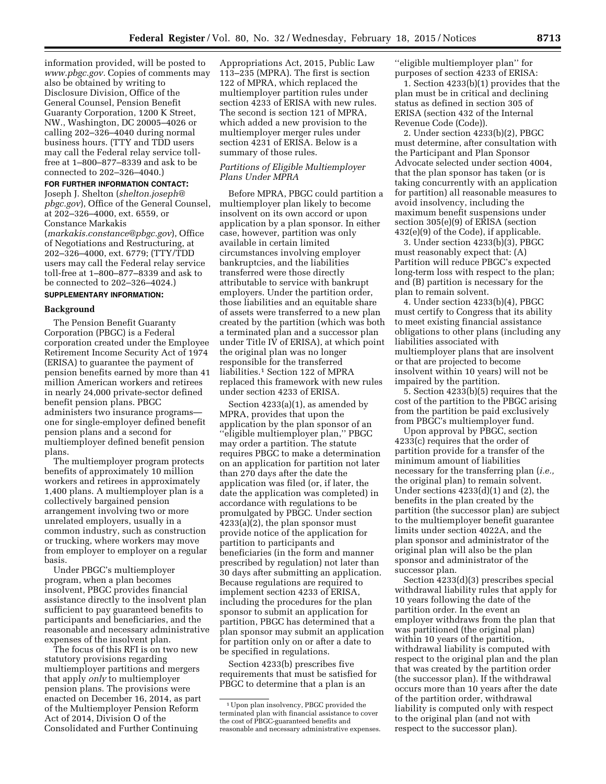information provided, will be posted to *[www.pbgc.gov.](http://www.pbgc.gov)* Copies of comments may also be obtained by writing to Disclosure Division, Office of the General Counsel, Pension Benefit Guaranty Corporation, 1200 K Street, NW., Washington, DC 20005–4026 or calling 202–326–4040 during normal business hours. (TTY and TDD users may call the Federal relay service tollfree at 1–800–877–8339 and ask to be connected to 202–326–4040.)

### **FOR FURTHER INFORMATION CONTACT:**

Joseph J. Shelton (*[shelton.joseph@](mailto:shelton.joseph@pbgc.gov) [pbgc.gov](mailto:shelton.joseph@pbgc.gov)*), Office of the General Counsel, at 202–326–4000, ext. 6559, or Constance Markakis (*[markakis.constance@pbgc.gov](mailto:markakis.constance@pbgc.gov)*), Office of Negotiations and Restructuring, at 202–326–4000, ext. 6779; (TTY/TDD

users may call the Federal relay service toll-free at 1–800–877–8339 and ask to be connected to 202–326–4024.)

# **SUPPLEMENTARY INFORMATION:**

#### **Background**

The Pension Benefit Guaranty Corporation (PBGC) is a Federal corporation created under the Employee Retirement Income Security Act of 1974 (ERISA) to guarantee the payment of pension benefits earned by more than 41 million American workers and retirees in nearly 24,000 private-sector defined benefit pension plans. PBGC administers two insurance programs one for single-employer defined benefit pension plans and a second for multiemployer defined benefit pension plans.

The multiemployer program protects benefits of approximately 10 million workers and retirees in approximately 1,400 plans. A multiemployer plan is a collectively bargained pension arrangement involving two or more unrelated employers, usually in a common industry, such as construction or trucking, where workers may move from employer to employer on a regular basis.

Under PBGC's multiemployer program, when a plan becomes insolvent, PBGC provides financial assistance directly to the insolvent plan sufficient to pay guaranteed benefits to participants and beneficiaries, and the reasonable and necessary administrative expenses of the insolvent plan.

The focus of this RFI is on two new statutory provisions regarding multiemployer partitions and mergers that apply *only* to multiemployer pension plans. The provisions were enacted on December 16, 2014, as part of the Multiemployer Pension Reform Act of 2014, Division O of the Consolidated and Further Continuing

Appropriations Act, 2015, Public Law 113–235 (MPRA). The first is section 122 of MPRA, which replaced the multiemployer partition rules under section 4233 of ERISA with new rules. The second is section 121 of MPRA, which added a new provision to the multiemployer merger rules under section 4231 of ERISA. Below is a summary of those rules.

# *Partitions of Eligible Multiemployer Plans Under MPRA*

Before MPRA, PBGC could partition a multiemployer plan likely to become insolvent on its own accord or upon application by a plan sponsor. In either case, however, partition was only available in certain limited circumstances involving employer bankruptcies, and the liabilities transferred were those directly attributable to service with bankrupt employers. Under the partition order, those liabilities and an equitable share of assets were transferred to a new plan created by the partition (which was both a terminated plan and a successor plan under Title IV of ERISA), at which point the original plan was no longer responsible for the transferred liabilities.1 Section 122 of MPRA replaced this framework with new rules under section 4233 of ERISA.

Section 4233(a)(1), as amended by MPRA, provides that upon the application by the plan sponsor of an ''eligible multiemployer plan,'' PBGC may order a partition. The statute requires PBGC to make a determination on an application for partition not later than 270 days after the date the application was filed (or, if later, the date the application was completed) in accordance with regulations to be promulgated by PBGC. Under section 4233(a)(2), the plan sponsor must provide notice of the application for partition to participants and beneficiaries (in the form and manner prescribed by regulation) not later than 30 days after submitting an application. Because regulations are required to implement section 4233 of ERISA, including the procedures for the plan sponsor to submit an application for partition, PBGC has determined that a plan sponsor may submit an application for partition only on or after a date to be specified in regulations.

Section 4233(b) prescribes five requirements that must be satisfied for PBGC to determine that a plan is an

''eligible multiemployer plan'' for purposes of section 4233 of ERISA:

1. Section 4233(b)(1) provides that the plan must be in critical and declining status as defined in section 305 of ERISA (section 432 of the Internal Revenue Code (Code)).

2. Under section 4233(b)(2), PBGC must determine, after consultation with the Participant and Plan Sponsor Advocate selected under section 4004, that the plan sponsor has taken (or is taking concurrently with an application for partition) all reasonable measures to avoid insolvency, including the maximum benefit suspensions under section 305(e)(9) of ERISA (section 432(e)(9) of the Code), if applicable.

3. Under section 4233(b)(3), PBGC must reasonably expect that: (A) Partition will reduce PBGC's expected long-term loss with respect to the plan; and (B) partition is necessary for the plan to remain solvent.

4. Under section 4233(b)(4), PBGC must certify to Congress that its ability to meet existing financial assistance obligations to other plans (including any liabilities associated with multiemployer plans that are insolvent or that are projected to become insolvent within 10 years) will not be impaired by the partition.

5. Section 4233(b)(5) requires that the cost of the partition to the PBGC arising from the partition be paid exclusively from PBGC's multiemployer fund.

Upon approval by PBGC, section 4233(c) requires that the order of partition provide for a transfer of the minimum amount of liabilities necessary for the transferring plan (*i.e.,*  the original plan) to remain solvent. Under sections  $4233(d)(1)$  and  $(2)$ , the benefits in the plan created by the partition (the successor plan) are subject to the multiemployer benefit guarantee limits under section 4022A, and the plan sponsor and administrator of the original plan will also be the plan sponsor and administrator of the successor plan.

Section 4233(d)(3) prescribes special withdrawal liability rules that apply for 10 years following the date of the partition order. In the event an employer withdraws from the plan that was partitioned (the original plan) within 10 years of the partition, withdrawal liability is computed with respect to the original plan and the plan that was created by the partition order (the successor plan). If the withdrawal occurs more than 10 years after the date of the partition order, withdrawal liability is computed only with respect to the original plan (and not with respect to the successor plan).

<sup>1</sup>Upon plan insolvency, PBGC provided the terminated plan with financial assistance to cover the cost of PBGC-guaranteed benefits and reasonable and necessary administrative expenses.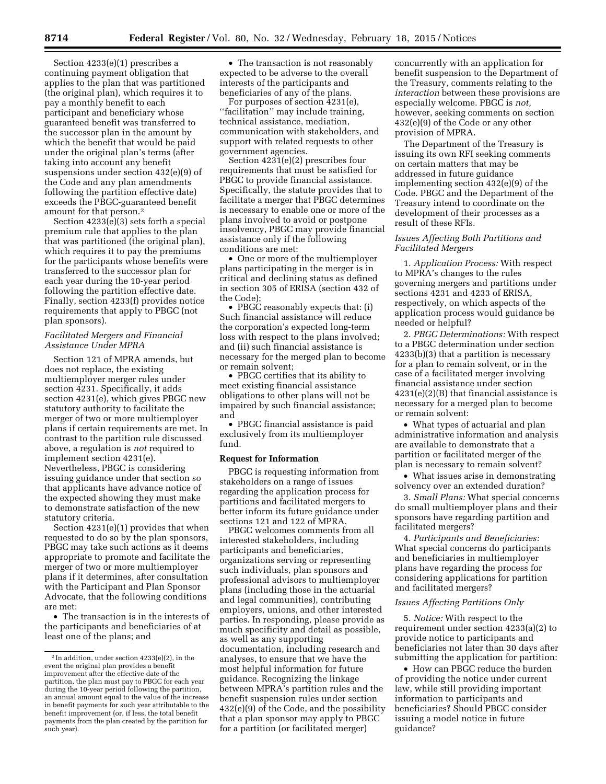Section 4233(e)(1) prescribes a continuing payment obligation that applies to the plan that was partitioned (the original plan), which requires it to pay a monthly benefit to each participant and beneficiary whose guaranteed benefit was transferred to the successor plan in the amount by which the benefit that would be paid under the original plan's terms (after taking into account any benefit suspensions under section 432(e)(9) of the Code and any plan amendments following the partition effective date) exceeds the PBGC-guaranteed benefit amount for that person.2

Section  $4233(e)(3)$  sets forth a special premium rule that applies to the plan that was partitioned (the original plan), which requires it to pay the premiums for the participants whose benefits were transferred to the successor plan for each year during the 10-year period following the partition effective date. Finally, section 4233(f) provides notice requirements that apply to PBGC (not plan sponsors).

# *Facilitated Mergers and Financial Assistance Under MPRA*

Section 121 of MPRA amends, but does not replace, the existing multiemployer merger rules under section 4231. Specifically, it adds section 4231(e), which gives PBGC new statutory authority to facilitate the merger of two or more multiemployer plans if certain requirements are met. In contrast to the partition rule discussed above, a regulation is *not* required to implement section 4231(e). Nevertheless, PBGC is considering issuing guidance under that section so that applicants have advance notice of the expected showing they must make to demonstrate satisfaction of the new statutory criteria.

Section 4231(e)(1) provides that when requested to do so by the plan sponsors, PBGC may take such actions as it deems appropriate to promote and facilitate the merger of two or more multiemployer plans if it determines, after consultation with the Participant and Plan Sponsor Advocate, that the following conditions are met:

• The transaction is in the interests of the participants and beneficiaries of at least one of the plans; and

• The transaction is not reasonably expected to be adverse to the overall interests of the participants and beneficiaries of any of the plans.

For purposes of section  $4231(e)$ , ''facilitation'' may include training, technical assistance, mediation, communication with stakeholders, and support with related requests to other government agencies.

Section 4231(e)(2) prescribes four requirements that must be satisfied for PBGC to provide financial assistance. Specifically, the statute provides that to facilitate a merger that PBGC determines is necessary to enable one or more of the plans involved to avoid or postpone insolvency, PBGC may provide financial assistance only if the following conditions are met:

• One or more of the multiemployer plans participating in the merger is in critical and declining status as defined in section 305 of ERISA (section 432 of the Code);

• PBGC reasonably expects that: (i) Such financial assistance will reduce the corporation's expected long-term loss with respect to the plans involved; and (ii) such financial assistance is necessary for the merged plan to become or remain solvent;

• PBGC certifies that its ability to meet existing financial assistance obligations to other plans will not be impaired by such financial assistance; and

• PBGC financial assistance is paid exclusively from its multiemployer fund.

#### **Request for Information**

PBGC is requesting information from stakeholders on a range of issues regarding the application process for partitions and facilitated mergers to better inform its future guidance under sections 121 and 122 of MPRA.

PBGC welcomes comments from all interested stakeholders, including participants and beneficiaries, organizations serving or representing such individuals, plan sponsors and professional advisors to multiemployer plans (including those in the actuarial and legal communities), contributing employers, unions, and other interested parties. In responding, please provide as much specificity and detail as possible, as well as any supporting documentation, including research and analyses, to ensure that we have the most helpful information for future guidance. Recognizing the linkage between MPRA's partition rules and the benefit suspension rules under section 432(e)(9) of the Code, and the possibility that a plan sponsor may apply to PBGC for a partition (or facilitated merger)

concurrently with an application for benefit suspension to the Department of the Treasury, comments relating to the *interaction* between these provisions are especially welcome. PBGC is *not,*  however, seeking comments on section 432(e)(9) of the Code or any other provision of MPRA.

The Department of the Treasury is issuing its own RFI seeking comments on certain matters that may be addressed in future guidance implementing section 432(e)(9) of the Code. PBGC and the Department of the Treasury intend to coordinate on the development of their processes as a result of these RFIs.

# *Issues Affecting Both Partitions and Facilitated Mergers*

1. *Application Process:* With respect to MPRA's changes to the rules governing mergers and partitions under sections 4231 and 4233 of ERISA, respectively, on which aspects of the application process would guidance be needed or helpful?

2. *PBGC Determinations:* With respect to a PBGC determination under section 4233(b)(3) that a partition is necessary for a plan to remain solvent, or in the case of a facilitated merger involving financial assistance under section 4231(e)(2)(B) that financial assistance is necessary for a merged plan to become or remain solvent:

• What types of actuarial and plan administrative information and analysis are available to demonstrate that a partition or facilitated merger of the plan is necessary to remain solvent?

• What issues arise in demonstrating solvency over an extended duration?

3. *Small Plans:* What special concerns do small multiemployer plans and their sponsors have regarding partition and facilitated mergers?

4. *Participants and Beneficiaries:*  What special concerns do participants and beneficiaries in multiemployer plans have regarding the process for considering applications for partition and facilitated mergers?

#### *Issues Affecting Partitions Only*

5. *Notice:* With respect to the requirement under section 4233(a)(2) to provide notice to participants and beneficiaries not later than 30 days after submitting the application for partition:

• How can PBGC reduce the burden of providing the notice under current law, while still providing important information to participants and beneficiaries? Should PBGC consider issuing a model notice in future guidance?

<sup>2</sup> In addition, under section 4233(e)(2), in the event the original plan provides a benefit improvement after the effective date of the partition, the plan must pay to PBGC for each year during the 10-year period following the partition, an annual amount equal to the value of the increase in benefit payments for such year attributable to the benefit improvement (or, if less, the total benefit payments from the plan created by the partition for such year).